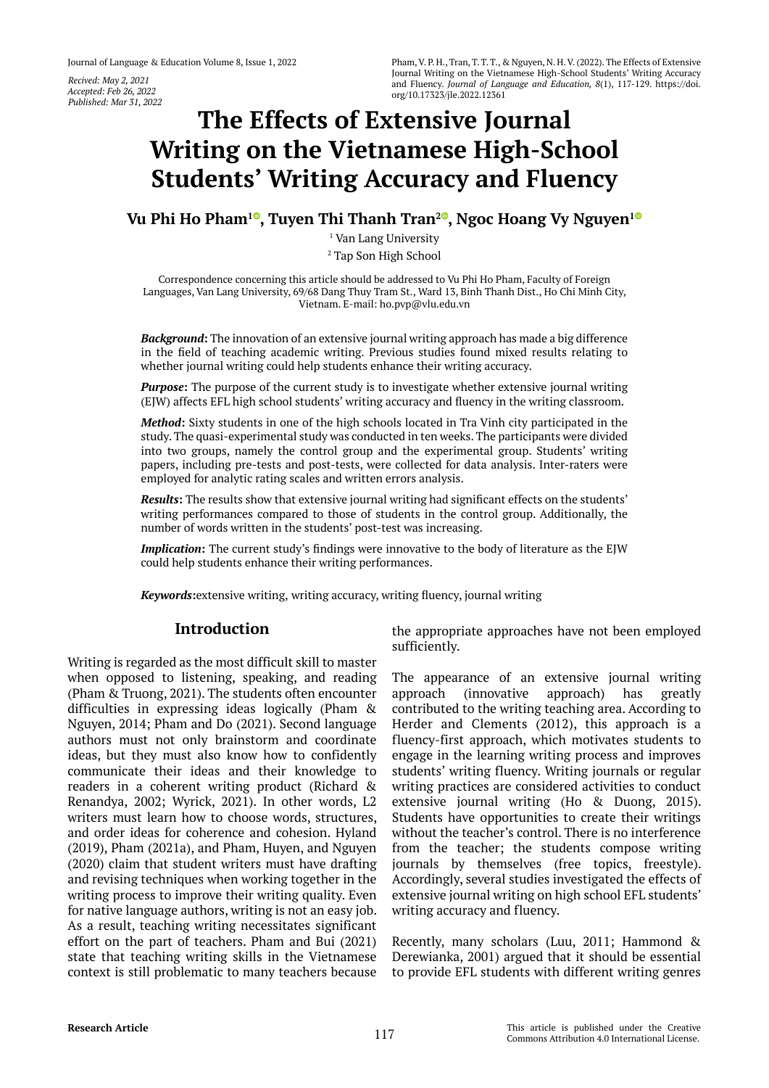*Recived: May 2, 2021 Accepted: Feb 26, 2022 Published: Mar 31, 2022*

# **The Effects of Extensive Journal Writing on the Vietnamese High-School Students' Writing Accuracy and Fluency**

**Vu Phi Ho Pham<sup>10</sup>[,](https://orcid.org/0000-0001-7459-8509) Tuyen Thi Thanh Tran<sup>20</sup>, Ngoc Hoang Vy Nguyen<sup>[1](https://orcid.org/0000-0002-8626-3543)0</sup>** 

1 Van Lang University 2 Tap Son High School

Correspondence concerning this article should be addressed to Vu Phi Ho Pham, Faculty of Foreign Languages, Van Lang University, 69/68 Dang Thuy Tram St., Ward 13, Binh Thanh Dist., Ho Chi Minh City, Vietnam. E-mail: ho.pvp@vlu.edu.vn

*Background***:** The innovation of an extensive journal writing approach has made a big difference in the field of teaching academic writing. Previous studies found mixed results relating to whether journal writing could help students enhance their writing accuracy.

**Purpose:** The purpose of the current study is to investigate whether extensive journal writing (EJW) affects EFL high school students' writing accuracy and fluency in the writing classroom.

*Method***:** Sixty students in one of the high schools located in Tra Vinh city participated in the study. The quasi-experimental study was conducted in ten weeks. The participants were divided into two groups, namely the control group and the experimental group. Students' writing papers, including pre-tests and post-tests, were collected for data analysis. Inter-raters were employed for analytic rating scales and written errors analysis.

*Results***:** The results show that extensive journal writing had significant effects on the students' writing performances compared to those of students in the control group. Additionally, the number of words written in the students' post-test was increasing.

*Implication***:** The current study's findings were innovative to the body of literature as the EJW could help students enhance their writing performances.

*Keywords***:**extensive writing, writing accuracy, writing fluency, journal writing

## **Introduction**

Writing is regarded as the most difficult skill to master when opposed to listening, speaking, and reading (Pham & Truong, 2021). The students often encounter difficulties in expressing ideas logically (Pham & Nguyen, 2014; Pham and Do (2021). Second language authors must not only brainstorm and coordinate ideas, but they must also know how to confidently communicate their ideas and their knowledge to readers in a coherent writing product (Richard & Renandya, 2002; Wyrick, 2021). In other words, L2 writers must learn how to choose words, structures, and order ideas for coherence and cohesion. Hyland (2019), Pham (2021a), and Pham, Huyen, and Nguyen (2020) claim that student writers must have drafting and revising techniques when working together in the writing process to improve their writing quality. Even for native language authors, writing is not an easy job. As a result, teaching writing necessitates significant effort on the part of teachers. Pham and Bui (2021) state that teaching writing skills in the Vietnamese context is still problematic to many teachers because

the appropriate approaches have not been employed sufficiently.

The appearance of an extensive journal writing approach (innovative approach) has greatly contributed to the writing teaching area. According to Herder and Clements (2012), this approach is a fluency-first approach, which motivates students to engage in the learning writing process and improves students' writing fluency. Writing journals or regular writing practices are considered activities to conduct extensive journal writing (Ho & Duong, 2015). Students have opportunities to create their writings without the teacher's control. There is no interference from the teacher; the students compose writing journals by themselves (free topics, freestyle). Accordingly, several studies investigated the effects of extensive journal writing on high school EFL students' writing accuracy and fluency.

Recently, many scholars (Luu, 2011; Hammond & Derewianka, 2001) argued that it should be essential to provide EFL students with different writing genres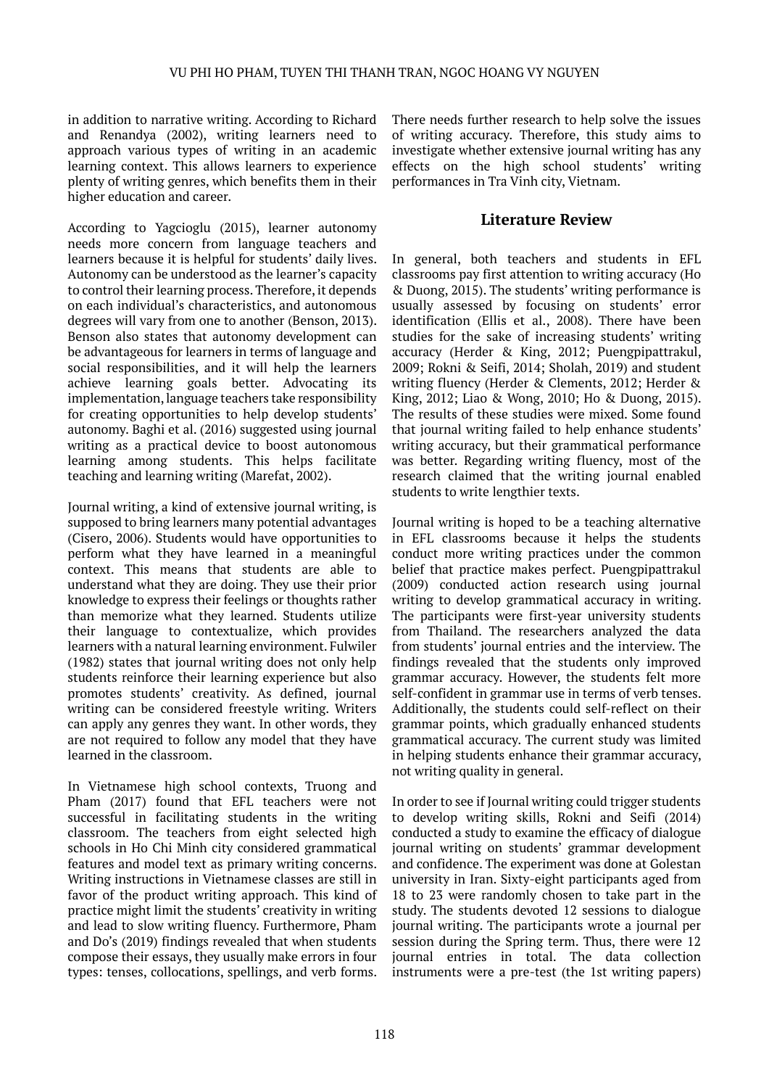in addition to narrative writing. According to Richard and Renandya (2002), writing learners need to approach various types of writing in an academic learning context. This allows learners to experience plenty of writing genres, which benefits them in their higher education and career.

According to Yagcioglu (2015), learner autonomy needs more concern from language teachers and learners because it is helpful for students' daily lives. Autonomy can be understood as the learner's capacity to control their learning process. Therefore, it depends on each individual's characteristics, and autonomous degrees will vary from one to another (Benson, 2013). Benson also states that autonomy development can be advantageous for learners in terms of language and social responsibilities, and it will help the learners achieve learning goals better. Advocating its implementation, language teachers take responsibility for creating opportunities to help develop students' autonomy. Baghi et al. (2016) suggested using journal writing as a practical device to boost autonomous learning among students. This helps facilitate teaching and learning writing (Marefat, 2002).

Journal writing, a kind of extensive journal writing, is supposed to bring learners many potential advantages (Cisero, 2006). Students would have opportunities to perform what they have learned in a meaningful context. This means that students are able to understand what they are doing. They use their prior knowledge to express their feelings or thoughts rather than memorize what they learned. Students utilize their language to contextualize, which provides learners with a natural learning environment. Fulwiler (1982) states that journal writing does not only help students reinforce their learning experience but also promotes students' creativity. As defined, journal writing can be considered freestyle writing. Writers can apply any genres they want. In other words, they are not required to follow any model that they have learned in the classroom.

In Vietnamese high school contexts, Truong and Pham (2017) found that EFL teachers were not successful in facilitating students in the writing classroom. The teachers from eight selected high schools in Ho Chi Minh city considered grammatical features and model text as primary writing concerns. Writing instructions in Vietnamese classes are still in favor of the product writing approach. This kind of practice might limit the students' creativity in writing and lead to slow writing fluency. Furthermore, Pham and Do's (2019) findings revealed that when students compose their essays, they usually make errors in four types: tenses, collocations, spellings, and verb forms.

There needs further research to help solve the issues of writing accuracy. Therefore, this study aims to investigate whether extensive journal writing has any effects on the high school students' writing performances in Tra Vinh city, Vietnam.

## **Literature Review**

In general, both teachers and students in EFL classrooms pay first attention to writing accuracy (Ho & Duong, 2015). The students' writing performance is usually assessed by focusing on students' error identification (Ellis et al., 2008). There have been studies for the sake of increasing students' writing accuracy (Herder & King, 2012; Puengpipattrakul, 2009; Rokni & Seifi, 2014; Sholah, 2019) and student writing fluency (Herder & Clements, 2012; Herder & King, 2012; Liao & Wong, 2010; Ho & Duong, 2015). The results of these studies were mixed. Some found that journal writing failed to help enhance students' writing accuracy, but their grammatical performance was better. Regarding writing fluency, most of the research claimed that the writing journal enabled students to write lengthier texts.

Journal writing is hoped to be a teaching alternative in EFL classrooms because it helps the students conduct more writing practices under the common belief that practice makes perfect. Puengpipattrakul (2009) conducted action research using journal writing to develop grammatical accuracy in writing. The participants were first-year university students from Thailand. The researchers analyzed the data from students' journal entries and the interview. The findings revealed that the students only improved grammar accuracy. However, the students felt more self-confident in grammar use in terms of verb tenses. Additionally, the students could self-reflect on their grammar points, which gradually enhanced students grammatical accuracy. The current study was limited in helping students enhance their grammar accuracy, not writing quality in general.

In order to see if Journal writing could trigger students to develop writing skills, Rokni and Seifi (2014) conducted a study to examine the efficacy of dialogue journal writing on students' grammar development and confidence. The experiment was done at Golestan university in Iran. Sixty-eight participants aged from 18 to 23 were randomly chosen to take part in the study. The students devoted 12 sessions to dialogue journal writing. The participants wrote a journal per session during the Spring term. Thus, there were 12 journal entries in total. The data collection instruments were a pre-test (the 1st writing papers)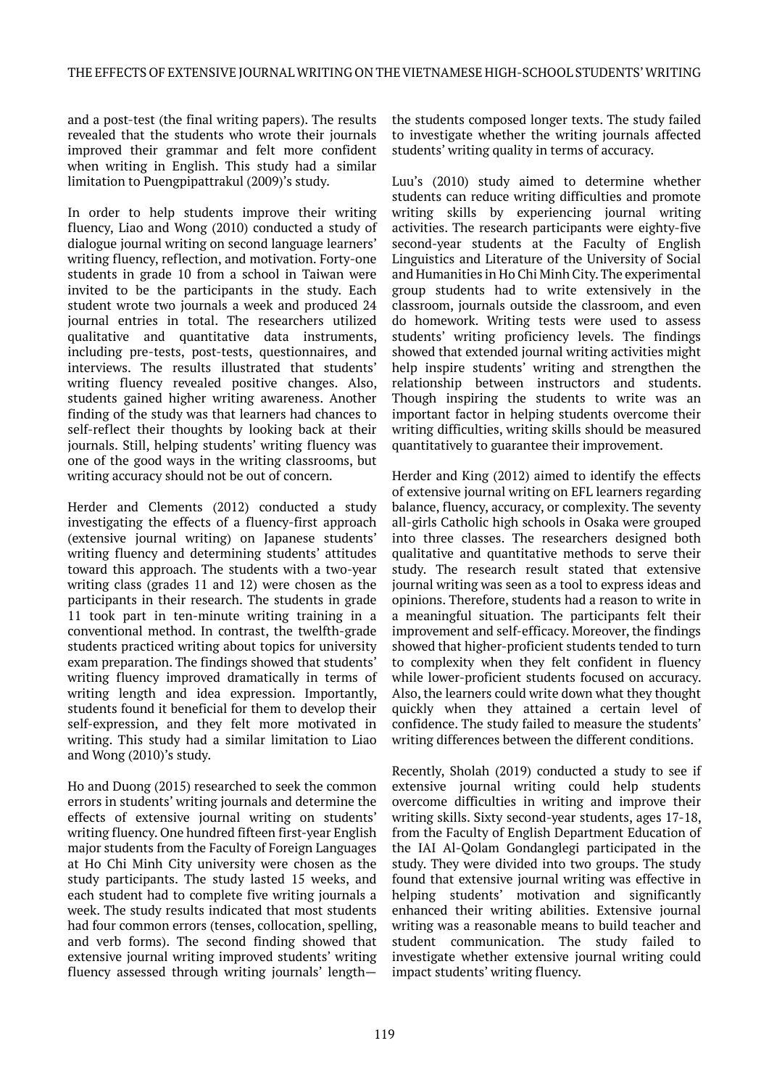and a post-test (the final writing papers). The results revealed that the students who wrote their journals improved their grammar and felt more confident when writing in English. This study had a similar limitation to Puengpipattrakul (2009)'s study.

In order to help students improve their writing fluency, Liao and Wong (2010) conducted a study of dialogue journal writing on second language learners' writing fluency, reflection, and motivation. Forty-one students in grade 10 from a school in Taiwan were invited to be the participants in the study. Each student wrote two journals a week and produced 24 journal entries in total. The researchers utilized qualitative and quantitative data instruments, including pre-tests, post-tests, questionnaires, and interviews. The results illustrated that students' writing fluency revealed positive changes. Also, students gained higher writing awareness. Another finding of the study was that learners had chances to self-reflect their thoughts by looking back at their journals. Still, helping students' writing fluency was one of the good ways in the writing classrooms, but writing accuracy should not be out of concern.

Herder and Clements (2012) conducted a study investigating the effects of a fluency-first approach (extensive journal writing) on Japanese students' writing fluency and determining students' attitudes toward this approach. The students with a two-year writing class (grades 11 and 12) were chosen as the participants in their research. The students in grade 11 took part in ten-minute writing training in a conventional method. In contrast, the twelfth-grade students practiced writing about topics for university exam preparation. The findings showed that students' writing fluency improved dramatically in terms of writing length and idea expression. Importantly, students found it beneficial for them to develop their self-expression, and they felt more motivated in writing. This study had a similar limitation to Liao and Wong (2010)'s study.

Ho and Duong (2015) researched to seek the common errors in students' writing journals and determine the effects of extensive journal writing on students' writing fluency. One hundred fifteen first-year English major students from the Faculty of Foreign Languages at Ho Chi Minh City university were chosen as the study participants. The study lasted 15 weeks, and each student had to complete five writing journals a week. The study results indicated that most students had four common errors (tenses, collocation, spelling, and verb forms). The second finding showed that extensive journal writing improved students' writing fluency assessed through writing journals' length—

the students composed longer texts. The study failed to investigate whether the writing journals affected students' writing quality in terms of accuracy.

Luu's (2010) study aimed to determine whether students can reduce writing difficulties and promote writing skills by experiencing journal writing activities. The research participants were eighty-five second-year students at the Faculty of English Linguistics and Literature of the University of Social and Humanities in Ho Chi Minh City. The experimental group students had to write extensively in the classroom, journals outside the classroom, and even do homework. Writing tests were used to assess students' writing proficiency levels. The findings showed that extended journal writing activities might help inspire students' writing and strengthen the relationship between instructors and students. Though inspiring the students to write was an important factor in helping students overcome their writing difficulties, writing skills should be measured quantitatively to guarantee their improvement.

Herder and King (2012) aimed to identify the effects of extensive journal writing on EFL learners regarding balance, fluency, accuracy, or complexity. The seventy all-girls Catholic high schools in Osaka were grouped into three classes. The researchers designed both qualitative and quantitative methods to serve their study. The research result stated that extensive journal writing was seen as a tool to express ideas and opinions. Therefore, students had a reason to write in a meaningful situation. The participants felt their improvement and self-efficacy. Moreover, the findings showed that higher-proficient students tended to turn to complexity when they felt confident in fluency while lower-proficient students focused on accuracy. Also, the learners could write down what they thought quickly when they attained a certain level of confidence. The study failed to measure the students' writing differences between the different conditions.

Recently, Sholah (2019) conducted a study to see if extensive journal writing could help students overcome difficulties in writing and improve their writing skills. Sixty second-year students, ages 17-18, from the Faculty of English Department Education of the IAI Al-Qolam Gondanglegi participated in the study. They were divided into two groups. The study found that extensive journal writing was effective in helping students' motivation and significantly enhanced their writing abilities. Extensive journal writing was a reasonable means to build teacher and student communication. The study failed to investigate whether extensive journal writing could impact students' writing fluency.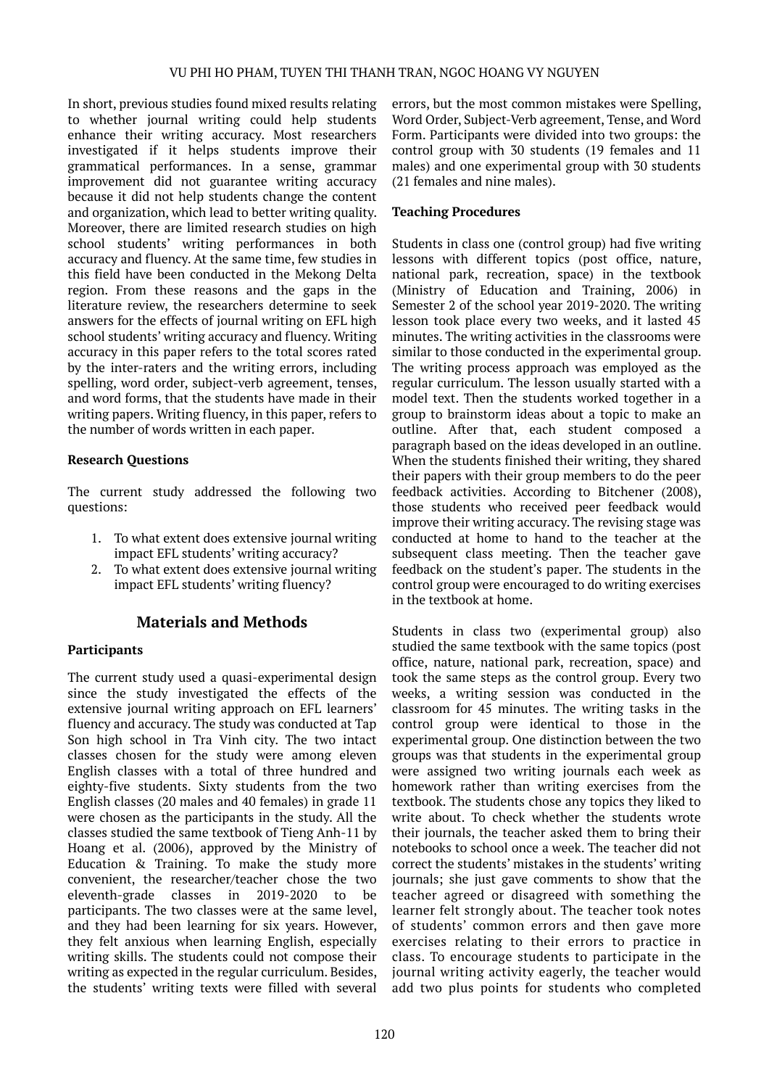In short, previous studies found mixed results relating to whether journal writing could help students enhance their writing accuracy. Most researchers investigated if it helps students improve their grammatical performances. In a sense, grammar improvement did not guarantee writing accuracy because it did not help students change the content and organization, which lead to better writing quality. Moreover, there are limited research studies on high school students' writing performances in both accuracy and fluency. At the same time, few studies in this field have been conducted in the Mekong Delta region. From these reasons and the gaps in the literature review, the researchers determine to seek answers for the effects of journal writing on EFL high school students' writing accuracy and fluency. Writing accuracy in this paper refers to the total scores rated by the inter-raters and the writing errors, including spelling, word order, subject-verb agreement, tenses, and word forms, that the students have made in their writing papers. Writing fluency, in this paper, refers to the number of words written in each paper.

## **Research Questions**

The current study addressed the following two questions:

- 1. To what extent does extensive journal writing impact EFL students' writing accuracy?
- 2. To what extent does extensive journal writing impact EFL students' writing fluency?

## **Materials and Methods**

## **Participants**

The current study used a quasi-experimental design since the study investigated the effects of the extensive journal writing approach on EFL learners' fluency and accuracy. The study was conducted at Tap Son high school in Tra Vinh city. The two intact classes chosen for the study were among eleven English classes with a total of three hundred and eighty-five students. Sixty students from the two English classes (20 males and 40 females) in grade 11 were chosen as the participants in the study. All the classes studied the same textbook of Tieng Anh-11 by Hoang et al. (2006), approved by the Ministry of Education & Training. To make the study more convenient, the researcher/teacher chose the two eleventh-grade classes in 2019-2020 to be participants. The two classes were at the same level, and they had been learning for six years. However, they felt anxious when learning English, especially writing skills. The students could not compose their writing as expected in the regular curriculum. Besides, the students' writing texts were filled with several

errors, but the most common mistakes were Spelling, Word Order, Subject-Verb agreement, Tense, and Word Form. Participants were divided into two groups: the control group with 30 students (19 females and 11 males) and one experimental group with 30 students (21 females and nine males).

## **Teaching Procedures**

Students in class one (control group) had five writing lessons with different topics (post office, nature, national park, recreation, space) in the textbook (Ministry of Education and Training, 2006) in Semester 2 of the school year 2019-2020. The writing lesson took place every two weeks, and it lasted 45 minutes. The writing activities in the classrooms were similar to those conducted in the experimental group. The writing process approach was employed as the regular curriculum. The lesson usually started with a model text. Then the students worked together in a group to brainstorm ideas about a topic to make an outline. After that, each student composed a paragraph based on the ideas developed in an outline. When the students finished their writing, they shared their papers with their group members to do the peer feedback activities. According to Bitchener (2008), those students who received peer feedback would improve their writing accuracy. The revising stage was conducted at home to hand to the teacher at the subsequent class meeting. Then the teacher gave feedback on the student's paper. The students in the control group were encouraged to do writing exercises in the textbook at home.

Students in class two (experimental group) also studied the same textbook with the same topics (post office, nature, national park, recreation, space) and took the same steps as the control group. Every two weeks, a writing session was conducted in the classroom for 45 minutes. The writing tasks in the control group were identical to those in the experimental group. One distinction between the two groups was that students in the experimental group were assigned two writing journals each week as homework rather than writing exercises from the textbook. The students chose any topics they liked to write about. To check whether the students wrote their journals, the teacher asked them to bring their notebooks to school once a week. The teacher did not correct the students' mistakes in the students' writing journals; she just gave comments to show that the teacher agreed or disagreed with something the learner felt strongly about. The teacher took notes of students' common errors and then gave more exercises relating to their errors to practice in class. To encourage students to participate in the journal writing activity eagerly, the teacher would add two plus points for students who completed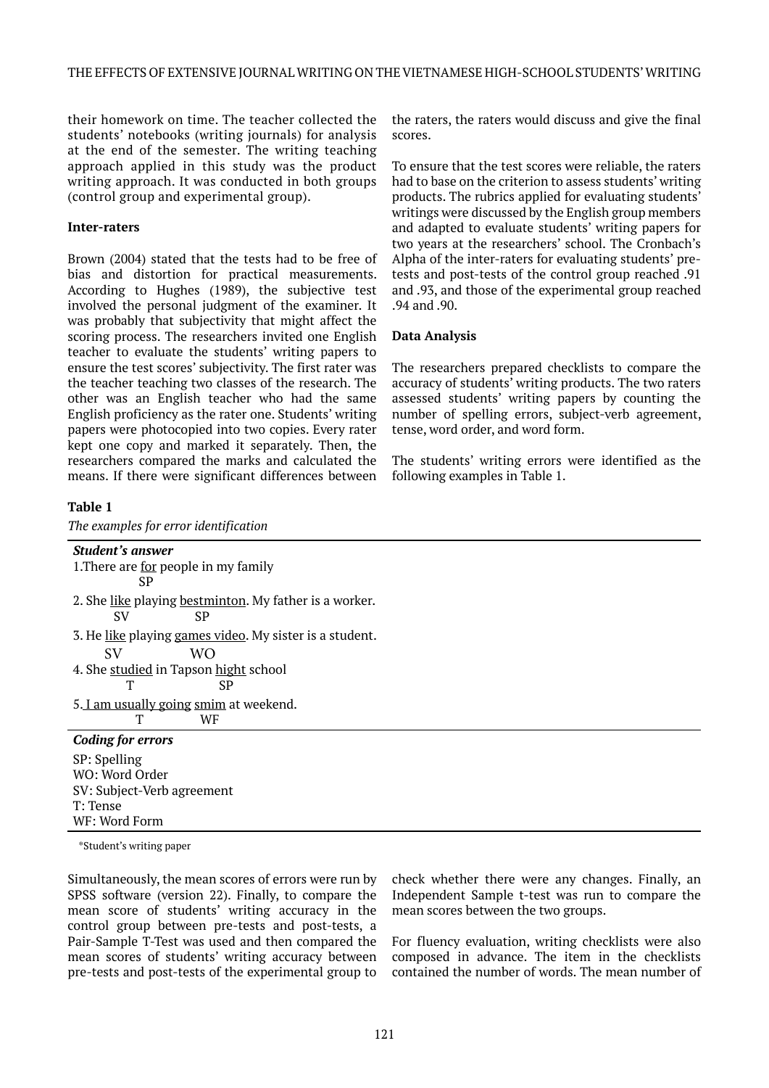their homework on time. The teacher collected the students' notebooks (writing journals) for analysis at the end of the semester. The writing teaching approach applied in this study was the product writing approach. It was conducted in both groups (control group and experimental group).

#### **Inter-raters**

Brown (2004) stated that the tests had to be free of bias and distortion for practical measurements. According to Hughes (1989), the subjective test involved the personal judgment of the examiner. It was probably that subjectivity that might affect the scoring process. The researchers invited one English teacher to evaluate the students' writing papers to ensure the test scores' subjectivity. The first rater was the teacher teaching two classes of the research. The other was an English teacher who had the same English proficiency as the rater one. Students' writing papers were photocopied into two copies. Every rater kept one copy and marked it separately. Then, the researchers compared the marks and calculated the means. If there were significant differences between

## **Table 1**

*The examples for error identification*

the raters, the raters would discuss and give the final scores.

To ensure that the test scores were reliable, the raters had to base on the criterion to assess students' writing products. The rubrics applied for evaluating students' writings were discussed by the English group members and adapted to evaluate students' writing papers for two years at the researchers' school. The Cronbach's Alpha of the inter-raters for evaluating students' pretests and post-tests of the control group reached .91 and .93, and those of the experimental group reached .94 and .90.

#### **Data Analysis**

The researchers prepared checklists to compare the accuracy of students' writing products. The two raters assessed students' writing papers by counting the number of spelling errors, subject-verb agreement, tense, word order, and word form.

The students' writing errors were identified as the following examples in Table 1.

| <b>Student's answer</b>                                 |
|---------------------------------------------------------|
| 1. There are <u>for</u> people in my family             |
| SP                                                      |
| 2. She like playing bestminton. My father is a worker.  |
| <b>SP</b><br><b>SV</b>                                  |
| 3. He like playing games video. My sister is a student. |
| <b>SV</b><br>WO.                                        |
| 4. She studied in Tapson hight school                   |
| Т<br>SP                                                 |
| 5. I am usually going smim at weekend.                  |
| Т<br>WF                                                 |
| <b>Coding for errors</b>                                |
| SP: Spelling                                            |
| WO: Word Order                                          |
| SV: Subject-Verb agreement                              |
| T: Tense                                                |
| WF: Word Form                                           |

\*Student's writing paper

Simultaneously, the mean scores of errors were run by SPSS software (version 22). Finally, to compare the mean score of students' writing accuracy in the control group between pre-tests and post-tests, a Pair-Sample T-Test was used and then compared the mean scores of students' writing accuracy between pre-tests and post-tests of the experimental group to

check whether there were any changes. Finally, an Independent Sample t-test was run to compare the mean scores between the two groups.

For fluency evaluation, writing checklists were also composed in advance. The item in the checklists contained the number of words. The mean number of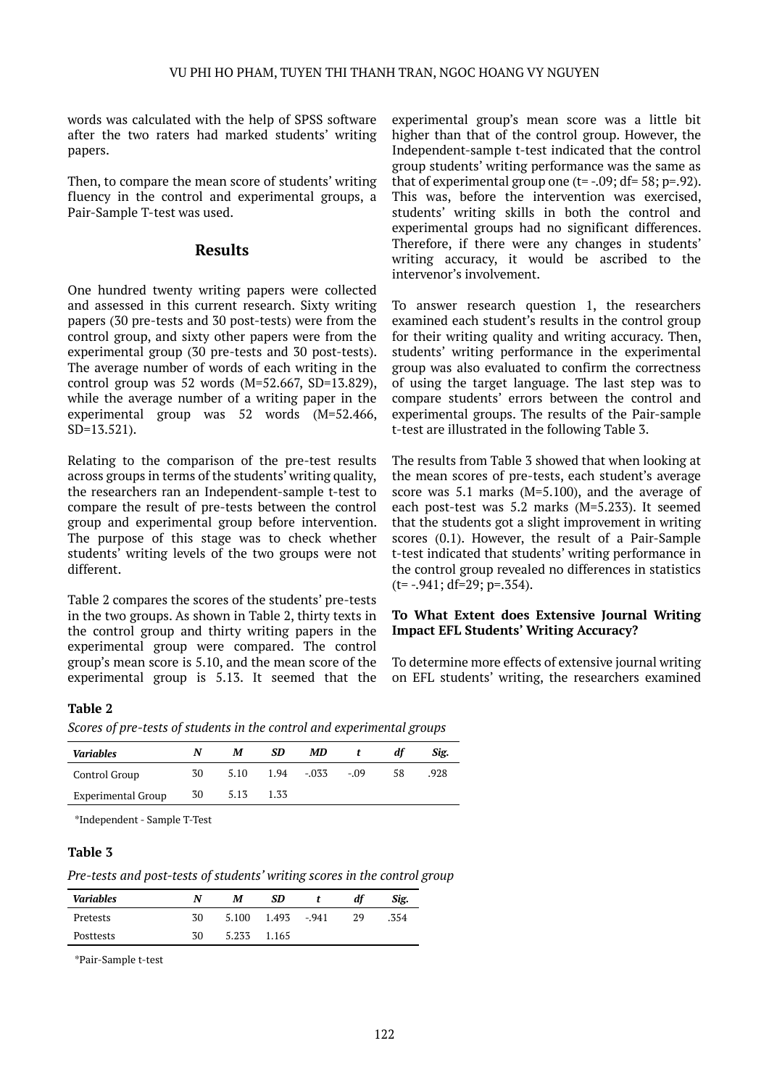words was calculated with the help of SPSS software after the two raters had marked students' writing papers.

Then, to compare the mean score of students' writing fluency in the control and experimental groups, a Pair-Sample T-test was used.

## **Results**

One hundred twenty writing papers were collected and assessed in this current research. Sixty writing papers (30 pre-tests and 30 post-tests) were from the control group, and sixty other papers were from the experimental group (30 pre-tests and 30 post-tests). The average number of words of each writing in the control group was  $52$  words (M=52.667, SD=13.829), while the average number of a writing paper in the experimental group was 52 words (M=52.466, SD=13.521).

Relating to the comparison of the pre-test results across groups in terms of the students' writing quality, the researchers ran an Independent-sample t-test to compare the result of pre-tests between the control group and experimental group before intervention. The purpose of this stage was to check whether students' writing levels of the two groups were not different.

Table 2 compares the scores of the students' pre-tests in the two groups. As shown in Table 2, thirty texts in the control group and thirty writing papers in the experimental group were compared. The control group's mean score is 5.10, and the mean score of the experimental group is 5.13. It seemed that the experimental group's mean score was a little bit higher than that of the control group. However, the Independent-sample t-test indicated that the control group students' writing performance was the same as that of experimental group one  $(t=-.09; df=58; p=.92)$ . This was, before the intervention was exercised, students' writing skills in both the control and experimental groups had no significant differences. Therefore, if there were any changes in students' writing accuracy, it would be ascribed to the intervenor's involvement.

To answer research question 1, the researchers examined each student's results in the control group for their writing quality and writing accuracy. Then, students' writing performance in the experimental group was also evaluated to confirm the correctness of using the target language. The last step was to compare students' errors between the control and experimental groups. The results of the Pair-sample t-test are illustrated in the following Table 3.

The results from Table 3 showed that when looking at the mean scores of pre-tests, each student's average score was 5.1 marks (M=5.100), and the average of each post-test was 5.2 marks (M=5.233). It seemed that the students got a slight improvement in writing scores (0.1). However, the result of a Pair-Sample t-test indicated that students' writing performance in the control group revealed no differences in statistics  $(t=-.941; df=29; p=.354)$ .

#### **To What Extent does Extensive Journal Writing Impact EFL Students' Writing Accuracy?**

To determine more effects of extensive journal writing on EFL students' writing, the researchers examined

## **Table 2**

*Scores of pre-tests of students in the control and experimental groups*

| <b>Variables</b>   | N  | M    | SD   | МD      |        | dt | Sig. |
|--------------------|----|------|------|---------|--------|----|------|
| Control Group      | 30 | 5.10 | 1.94 | $-0.33$ | $-.09$ | 58 | .928 |
| Experimental Group | 30 | 5.13 | 1.33 |         |        |    |      |

\*Independent - Sample T-Test

#### **Table 3**

*Pre-tests and post-tests of students' writing scores in the control group*

| <b>Variables</b> | N  | М     | SD    |        |    | Sig. |
|------------------|----|-------|-------|--------|----|------|
| Pretests         | 30 | 5.100 | 1.493 | $-941$ | 29 | .354 |
| Posttests        | 30 | 5.233 | 1.165 |        |    |      |

\*Pair-Sample t-test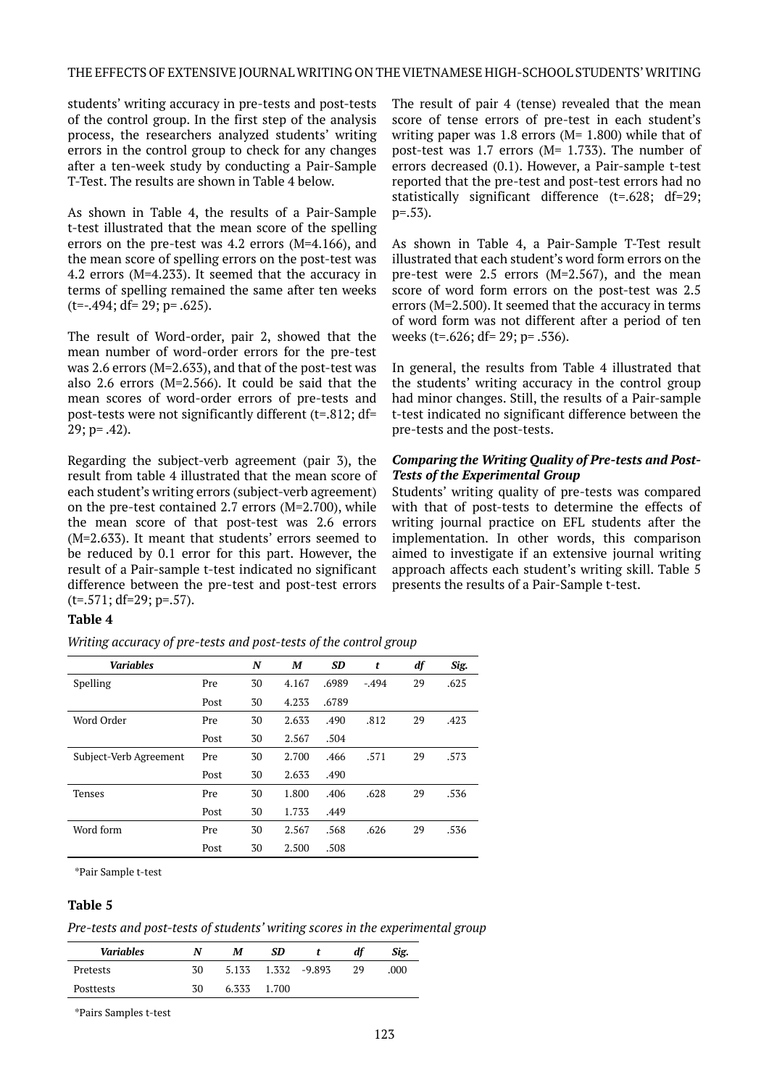#### THE EFFECTS OF EXTENSIVE JOURNAL WRITING ON THE VIETNAMESE HIGH-SCHOOL STUDENTS' WRITING

students' writing accuracy in pre-tests and post-tests of the control group. In the first step of the analysis process, the researchers analyzed students' writing errors in the control group to check for any changes after a ten-week study by conducting a Pair-Sample T-Test. The results are shown in Table 4 below.

As shown in Table 4, the results of a Pair-Sample t-test illustrated that the mean score of the spelling errors on the pre-test was 4.2 errors (M=4.166), and the mean score of spelling errors on the post-test was 4.2 errors (M=4.233). It seemed that the accuracy in terms of spelling remained the same after ten weeks (t=-.494; df= 29; p= .625).

The result of Word-order, pair 2, showed that the mean number of word-order errors for the pre-test was 2.6 errors (M=2.633), and that of the post-test was also 2.6 errors (M=2.566). It could be said that the mean scores of word-order errors of pre-tests and post-tests were not significantly different (t=.812; df= 29; p= .42).

Regarding the subject-verb agreement (pair 3), the result from table 4 illustrated that the mean score of each student's writing errors (subject-verb agreement) on the pre-test contained 2.7 errors (M=2.700), while the mean score of that post-test was 2.6 errors (M=2.633). It meant that students' errors seemed to be reduced by 0.1 error for this part. However, the result of a Pair-sample t-test indicated no significant difference between the pre-test and post-test errors (t=.571; df=29; p=.57).

#### **Table 4**

*Writing accuracy of pre-tests and post-tests of the control group*

| <b>Variables</b>       |      | N  | M     | <b>SD</b> | t       | df | Sig. |
|------------------------|------|----|-------|-----------|---------|----|------|
| Spelling               | Pre  | 30 | 4.167 | .6989     | $-.494$ | 29 | .625 |
|                        | Post | 30 | 4.233 | .6789     |         |    |      |
| Word Order             | Pre  | 30 | 2.633 | .490      | .812    | 29 | .423 |
|                        | Post | 30 | 2.567 | .504      |         |    |      |
| Subject-Verb Agreement | Pre  | 30 | 2.700 | .466      | .571    | 29 | .573 |
|                        | Post | 30 | 2.633 | .490      |         |    |      |
| <b>Tenses</b>          | Pre  | 30 | 1.800 | .406      | .628    | 29 | .536 |
|                        | Post | 30 | 1.733 | .449      |         |    |      |
| Word form              | Pre  | 30 | 2.567 | .568      | .626    | 29 | .536 |
|                        | Post | 30 | 2.500 | .508      |         |    |      |

\*Pair Sample t-test

#### **Table 5**

*Pre-tests and post-tests of students' writing scores in the experimental group* 

| <b>Variables</b> | N  | M     | SD    |              | df | Sig. |
|------------------|----|-------|-------|--------------|----|------|
| Pretests         | 30 | 5.133 |       | 1.332 -9.893 | 29 | .000 |
| Posttests        | 30 | 6.333 | 1.700 |              |    |      |

\*Pairs Samples t-test

The result of pair 4 (tense) revealed that the mean score of tense errors of pre-test in each student's writing paper was 1.8 errors ( $M= 1.800$ ) while that of post-test was 1.7 errors (M= 1.733). The number of errors decreased (0.1). However, a Pair-sample t-test reported that the pre-test and post-test errors had no statistically significant difference (t=.628; df=29;  $p=.53$ ).

As shown in Table 4, a Pair-Sample T-Test result illustrated that each student's word form errors on the pre-test were 2.5 errors (M=2.567), and the mean score of word form errors on the post-test was 2.5 errors (M=2.500). It seemed that the accuracy in terms of word form was not different after a period of ten weeks (t=.626; df= 29; p= .536).

In general, the results from Table 4 illustrated that the students' writing accuracy in the control group had minor changes. Still, the results of a Pair-sample t-test indicated no significant difference between the pre-tests and the post-tests.

#### *Comparing the Writing Quality of Pre-tests and Post-Tests of the Experimental Group*

Students' writing quality of pre-tests was compared with that of post-tests to determine the effects of writing journal practice on EFL students after the implementation. In other words, this comparison aimed to investigate if an extensive journal writing approach affects each student's writing skill. Table 5 presents the results of a Pair-Sample t-test.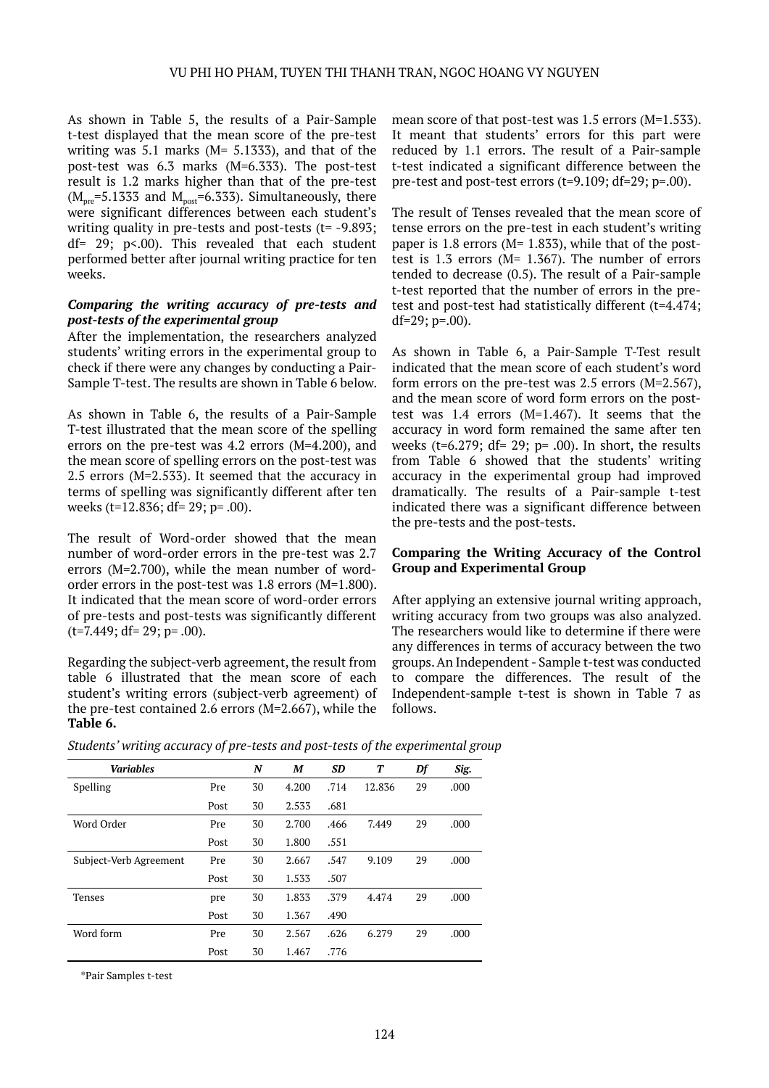As shown in Table 5, the results of a Pair-Sample t-test displayed that the mean score of the pre-test writing was 5.1 marks (M= 5.1333), and that of the post-test was 6.3 marks (M=6.333). The post-test result is 1.2 marks higher than that of the pre-test  $(M<sub>pre</sub>=5.1333$  and  $M<sub>post</sub>=6.333$ ). Simultaneously, there were significant differences between each student's writing quality in pre-tests and post-tests (t= -9.893; df= 29; p<.00). This revealed that each student performed better after journal writing practice for ten weeks.

#### *Comparing the writing accuracy of pre-tests and post-tests of the experimental group*

After the implementation, the researchers analyzed students' writing errors in the experimental group to check if there were any changes by conducting a Pair-Sample T-test. The results are shown in Table 6 below.

As shown in Table 6, the results of a Pair-Sample T-test illustrated that the mean score of the spelling errors on the pre-test was 4.2 errors (M=4.200), and the mean score of spelling errors on the post-test was 2.5 errors (M=2.533). It seemed that the accuracy in terms of spelling was significantly different after ten weeks (t=12.836; df= 29; p= .00).

The result of Word-order showed that the mean number of word-order errors in the pre-test was 2.7 errors (M=2.700), while the mean number of wordorder errors in the post-test was 1.8 errors (M=1.800). It indicated that the mean score of word-order errors of pre-tests and post-tests was significantly different  $(t=7.449; df= 29; p=.00)$ .

Regarding the subject-verb agreement, the result from table 6 illustrated that the mean score of each student's writing errors (subject-verb agreement) of the pre-test contained 2.6 errors (M=2.667), while the **Table 6.**

mean score of that post-test was 1.5 errors (M=1.533). It meant that students' errors for this part were reduced by 1.1 errors. The result of a Pair-sample t-test indicated a significant difference between the pre-test and post-test errors (t=9.109; df=29; p=.00).

The result of Tenses revealed that the mean score of tense errors on the pre-test in each student's writing paper is 1.8 errors ( $M= 1.833$ ), while that of the posttest is 1.3 errors (M= 1.367). The number of errors tended to decrease (0.5). The result of a Pair-sample t-test reported that the number of errors in the pretest and post-test had statistically different (t=4.474; df=29; p=.00).

As shown in Table 6, a Pair-Sample T-Test result indicated that the mean score of each student's word form errors on the pre-test was 2.5 errors (M=2.567), and the mean score of word form errors on the posttest was 1.4 errors (M=1.467). It seems that the accuracy in word form remained the same after ten weeks (t=6.279; df= 29;  $p=$  .00). In short, the results from Table 6 showed that the students' writing accuracy in the experimental group had improved dramatically. The results of a Pair-sample t-test indicated there was a significant difference between the pre-tests and the post-tests.

#### **Comparing the Writing Accuracy of the Control Group and Experimental Group**

After applying an extensive journal writing approach, writing accuracy from two groups was also analyzed. The researchers would like to determine if there were any differences in terms of accuracy between the two groups. An Independent - Sample t-test was conducted to compare the differences. The result of the Independent-sample t-test is shown in Table 7 as follows.

*Students' writing accuracy of pre-tests and post-tests of the experimental group*

| <b>Variables</b>       |      | N  | M     | <b>SD</b> | Т      | Df | Sig. |
|------------------------|------|----|-------|-----------|--------|----|------|
| Spelling               | Pre  | 30 | 4.200 | .714      | 12.836 | 29 | .000 |
|                        | Post | 30 | 2.533 | .681      |        |    |      |
| Word Order             | Pre  | 30 | 2.700 | .466      | 7.449  | 29 | .000 |
|                        | Post | 30 | 1.800 | .551      |        |    |      |
| Subject-Verb Agreement | Pre  | 30 | 2.667 | .547      | 9.109  | 29 | .000 |
|                        | Post | 30 | 1.533 | .507      |        |    |      |
| Tenses                 | pre  | 30 | 1.833 | .379      | 4.474  | 29 | .000 |
|                        | Post | 30 | 1.367 | .490      |        |    |      |
| Word form              | Pre  | 30 | 2.567 | .626      | 6.279  | 29 | .000 |
|                        | Post | 30 | 1.467 | .776      |        |    |      |

\*Pair Samples t-test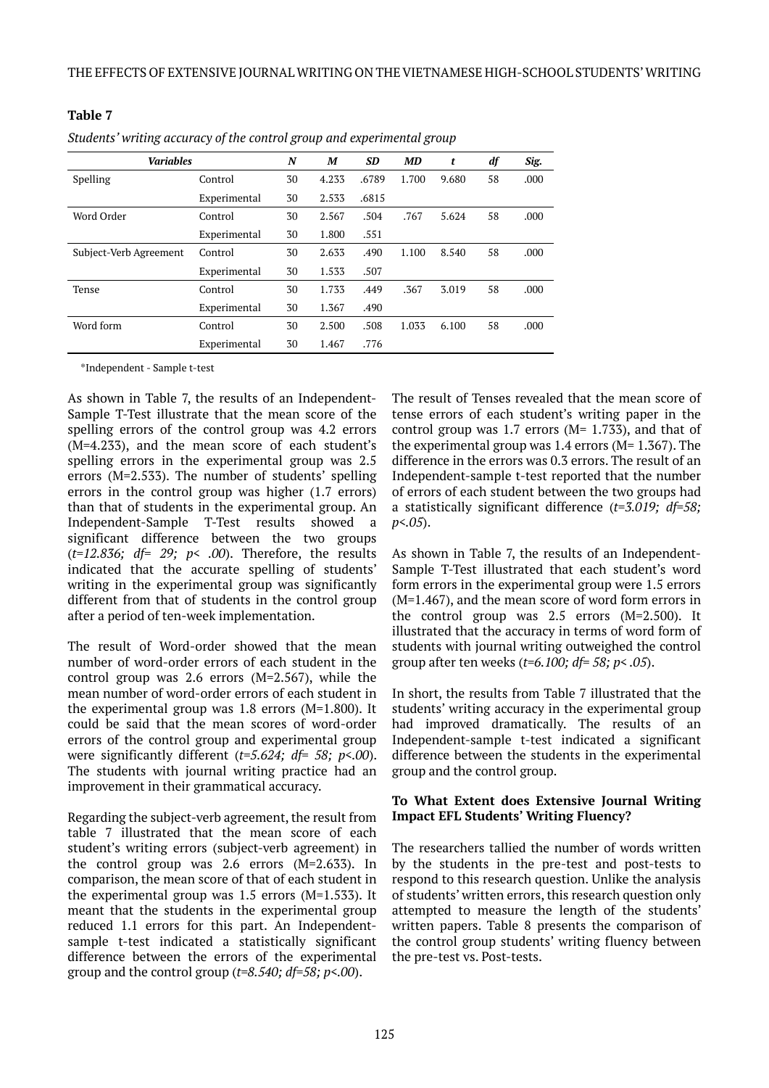| <b>Variables</b>       |              | N  | M     | SD    | MD    | t     | df | Sig. |
|------------------------|--------------|----|-------|-------|-------|-------|----|------|
| <b>Spelling</b>        | Control      | 30 | 4.233 | .6789 | 1.700 | 9.680 | 58 | .000 |
|                        | Experimental | 30 | 2.533 | .6815 |       |       |    |      |
| Word Order             | Control      | 30 | 2.567 | .504  | .767  | 5.624 | 58 | .000 |
|                        | Experimental | 30 | 1.800 | .551  |       |       |    |      |
| Subject-Verb Agreement | Control      | 30 | 2.633 | .490  | 1.100 | 8.540 | 58 | .000 |
|                        | Experimental | 30 | 1.533 | .507  |       |       |    |      |
| Tense                  | Control      | 30 | 1.733 | .449  | .367  | 3.019 | 58 | .000 |
|                        | Experimental | 30 | 1.367 | .490  |       |       |    |      |
| Word form              | Control      | 30 | 2.500 | .508  | 1.033 | 6.100 | 58 | .000 |
|                        | Experimental | 30 | 1.467 | .776  |       |       |    |      |

*Students' writing accuracy of the control group and experimental group*

\*Independent - Sample t-test

**Table 7**

As shown in Table 7, the results of an Independent-Sample T-Test illustrate that the mean score of the spelling errors of the control group was 4.2 errors (M=4.233), and the mean score of each student's spelling errors in the experimental group was 2.5 errors (M=2.533). The number of students' spelling errors in the control group was higher (1.7 errors) than that of students in the experimental group. An Independent-Sample T-Test results showed a significant difference between the two groups (*t=12.836; df= 29; p< .00*). Therefore, the results indicated that the accurate spelling of students' writing in the experimental group was significantly different from that of students in the control group after a period of ten-week implementation.

The result of Word-order showed that the mean number of word-order errors of each student in the control group was 2.6 errors (M=2.567), while the mean number of word-order errors of each student in the experimental group was 1.8 errors (M=1.800). It could be said that the mean scores of word-order errors of the control group and experimental group were significantly different (*t=5.624; df= 58; p<.00*). The students with journal writing practice had an improvement in their grammatical accuracy.

Regarding the subject-verb agreement, the result from table 7 illustrated that the mean score of each student's writing errors (subject-verb agreement) in the control group was 2.6 errors (M=2.633). In comparison, the mean score of that of each student in the experimental group was 1.5 errors (M=1.533). It meant that the students in the experimental group reduced 1.1 errors for this part. An Independentsample t-test indicated a statistically significant difference between the errors of the experimental group and the control group (*t=8.540; df=58; p<.00*).

The result of Tenses revealed that the mean score of tense errors of each student's writing paper in the control group was 1.7 errors ( $M= 1.733$ ), and that of the experimental group was  $1.4$  errors (M=  $1.367$ ). The difference in the errors was 0.3 errors. The result of an Independent-sample t-test reported that the number of errors of each student between the two groups had a statistically significant difference (*t=3.019; df=58; p<.05*).

As shown in Table 7, the results of an Independent-Sample T-Test illustrated that each student's word form errors in the experimental group were 1.5 errors (M=1.467), and the mean score of word form errors in the control group was 2.5 errors (M=2.500). It illustrated that the accuracy in terms of word form of students with journal writing outweighed the control group after ten weeks (*t=6.100; df= 58; p< .05*).

In short, the results from Table 7 illustrated that the students' writing accuracy in the experimental group had improved dramatically. The results of an Independent-sample t-test indicated a significant difference between the students in the experimental group and the control group.

## **To What Extent does Extensive Journal Writing Impact EFL Students' Writing Fluency?**

The researchers tallied the number of words written by the students in the pre-test and post-tests to respond to this research question. Unlike the analysis of students' written errors, this research question only attempted to measure the length of the students' written papers. Table 8 presents the comparison of the control group students' writing fluency between the pre-test vs. Post-tests.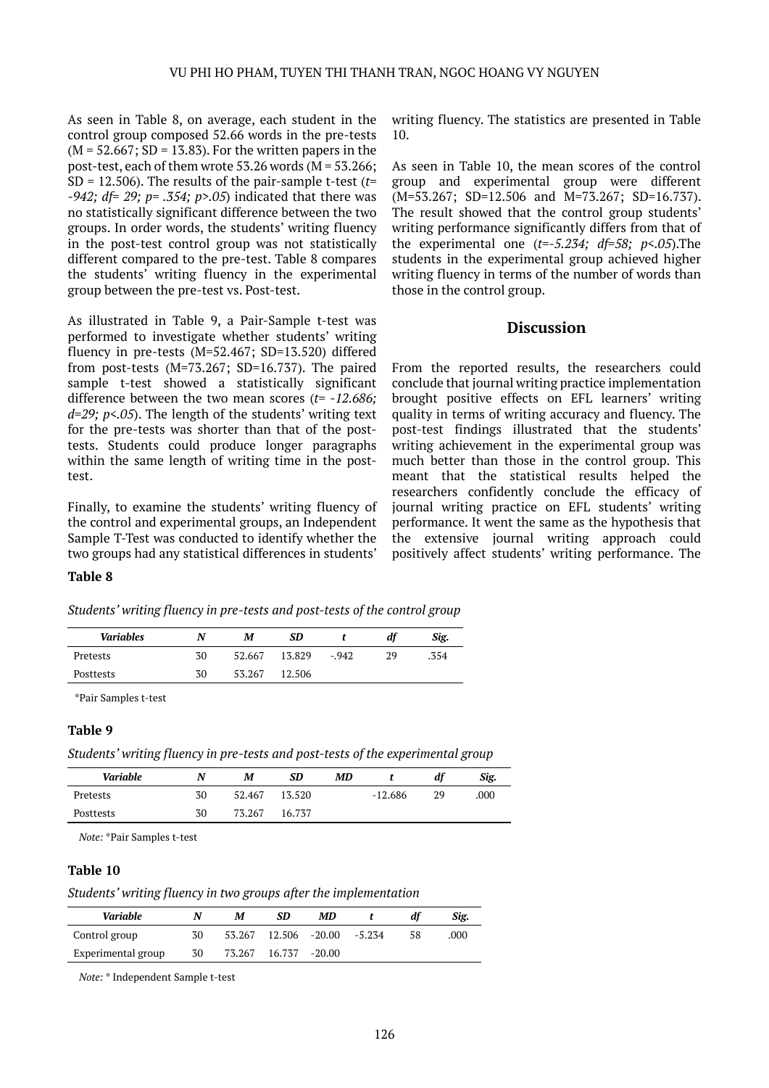As seen in Table 8, on average, each student in the control group composed 52.66 words in the pre-tests  $(M = 52.667; SD = 13.83)$ . For the written papers in the post-test, each of them wrote  $53.26$  words (M =  $53.266$ ; SD = 12.506). The results of the pair-sample t-test (*t= -942; df= 29; p= .354; p>.05*) indicated that there was no statistically significant difference between the two groups. In order words, the students' writing fluency in the post-test control group was not statistically different compared to the pre-test. Table 8 compares the students' writing fluency in the experimental group between the pre-test vs. Post-test.

As illustrated in Table 9, a Pair-Sample t-test was performed to investigate whether students' writing fluency in pre-tests (M=52.467; SD=13.520) differed from post-tests (M=73.267; SD=16.737). The paired sample t-test showed a statistically significant difference between the two mean scores (*t= -12.686; d=29; p<.05*). The length of the students' writing text for the pre-tests was shorter than that of the posttests. Students could produce longer paragraphs within the same length of writing time in the posttest.

Finally, to examine the students' writing fluency of the control and experimental groups, an Independent Sample T-Test was conducted to identify whether the two groups had any statistical differences in students' writing fluency. The statistics are presented in Table 10.

As seen in Table 10, the mean scores of the control group and experimental group were different (M=53.267; SD=12.506 and M=73.267; SD=16.737). The result showed that the control group students' writing performance significantly differs from that of the experimental one (*t=-5.234; df=58; p<.05*).The students in the experimental group achieved higher writing fluency in terms of the number of words than those in the control group.

## **Discussion**

From the reported results, the researchers could conclude that journal writing practice implementation brought positive effects on EFL learners' writing quality in terms of writing accuracy and fluency. The post-test findings illustrated that the students' writing achievement in the experimental group was much better than those in the control group. This meant that the statistical results helped the researchers confidently conclude the efficacy of journal writing practice on EFL students' writing performance. It went the same as the hypothesis that the extensive journal writing approach could positively affect students' writing performance. The

## **Table 8**

|  |  | Students' writing fluency in pre-tests and post-tests of the control group |  |
|--|--|----------------------------------------------------------------------------|--|
|  |  |                                                                            |  |
|  |  |                                                                            |  |

| <b>Variables</b> |    | М      | SD     |        | di | Sig. |
|------------------|----|--------|--------|--------|----|------|
| Pretests         | 30 | 52.667 | 13.829 | $-942$ | 29 | .354 |
| Posttests        | 30 | 53.267 | 12.506 |        |    |      |

\*Pair Samples t-test

## **Table 9**

*Students' writing fluency in pre-tests and post-tests of the experimental group*

| Variable  | N  | M      | SD     | MD |           | di | Sig. |
|-----------|----|--------|--------|----|-----------|----|------|
| Pretests  | 30 | 52.467 | 13.520 |    | $-12.686$ | 29 | .000 |
| Posttests | 30 | 73.267 | 16.737 |    |           |    |      |

*Note:* \*Pair Samples t-test

#### **Table 10**

#### *Students' writing fluency in two groups after the implementation*

| Variable           |    | М | SD                   | МD       |        |    | Sig. |
|--------------------|----|---|----------------------|----------|--------|----|------|
| Control group      | 30 |   | 53.267 12.506 -20.00 |          | -5.234 | 58 | .000 |
| Experimental group | 30 |   | 73.267 16.737        | $-20.00$ |        |    |      |

*Note:* \* Independent Sample t-test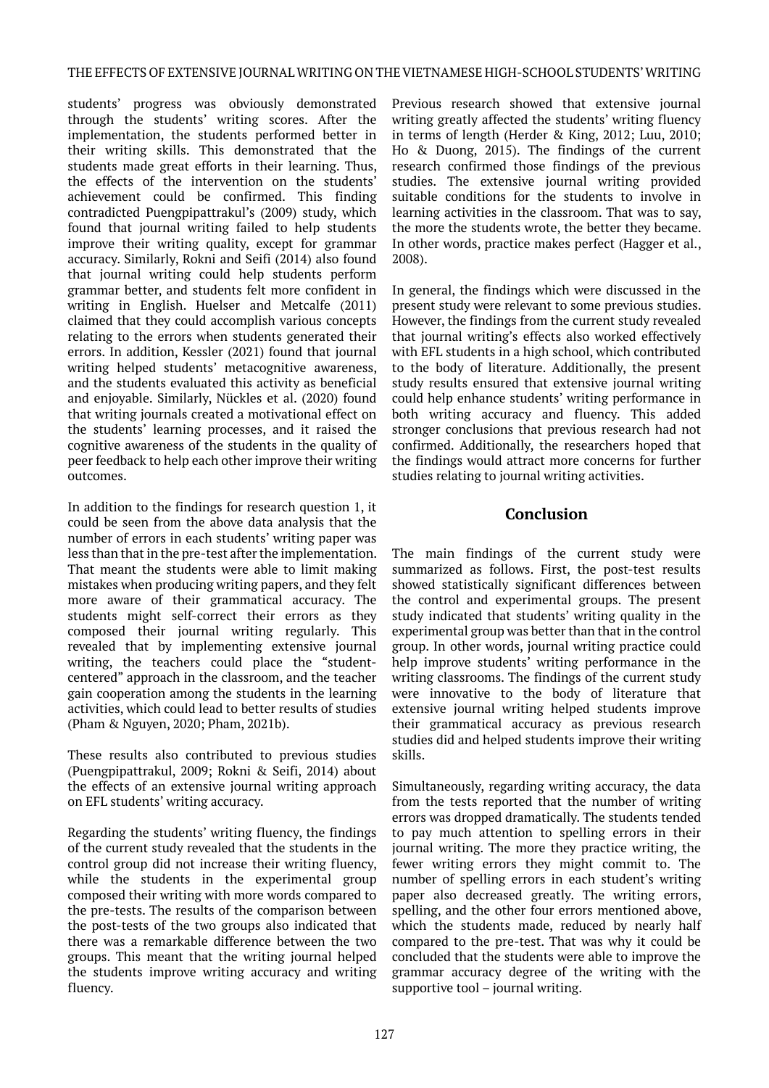students' progress was obviously demonstrated through the students' writing scores. After the implementation, the students performed better in their writing skills. This demonstrated that the students made great efforts in their learning. Thus, the effects of the intervention on the students' achievement could be confirmed. This finding contradicted Puengpipattrakul's (2009) study, which found that journal writing failed to help students improve their writing quality, except for grammar accuracy. Similarly, Rokni and Seifi (2014) also found that journal writing could help students perform grammar better, and students felt more confident in writing in English. Huelser and Metcalfe (2011) claimed that they could accomplish various concepts relating to the errors when students generated their errors. In addition, Kessler (2021) found that journal writing helped students' metacognitive awareness, and the students evaluated this activity as beneficial and enjoyable. Similarly, Nückles et al. (2020) found that writing journals created a motivational effect on the students' learning processes, and it raised the cognitive awareness of the students in the quality of peer feedback to help each other improve their writing outcomes.

In addition to the findings for research question 1, it could be seen from the above data analysis that the number of errors in each students' writing paper was less than that in the pre-test after the implementation. That meant the students were able to limit making mistakes when producing writing papers, and they felt more aware of their grammatical accuracy. The students might self-correct their errors as they composed their journal writing regularly. This revealed that by implementing extensive journal writing, the teachers could place the "studentcentered" approach in the classroom, and the teacher gain cooperation among the students in the learning activities, which could lead to better results of studies (Pham & Nguyen, 2020; Pham, 2021b).

These results also contributed to previous studies (Puengpipattrakul, 2009; Rokni & Seifi, 2014) about the effects of an extensive journal writing approach on EFL students' writing accuracy.

Regarding the students' writing fluency, the findings of the current study revealed that the students in the control group did not increase their writing fluency, while the students in the experimental group composed their writing with more words compared to the pre-tests. The results of the comparison between the post-tests of the two groups also indicated that there was a remarkable difference between the two groups. This meant that the writing journal helped the students improve writing accuracy and writing fluency.

Previous research showed that extensive journal writing greatly affected the students' writing fluency in terms of length (Herder & King, 2012; Luu, 2010; Ho & Duong, 2015). The findings of the current research confirmed those findings of the previous studies. The extensive journal writing provided suitable conditions for the students to involve in learning activities in the classroom. That was to say, the more the students wrote, the better they became. In other words, practice makes perfect (Hagger et al., 2008).

In general, the findings which were discussed in the present study were relevant to some previous studies. However, the findings from the current study revealed that journal writing's effects also worked effectively with EFL students in a high school, which contributed to the body of literature. Additionally, the present study results ensured that extensive journal writing could help enhance students' writing performance in both writing accuracy and fluency. This added stronger conclusions that previous research had not confirmed. Additionally, the researchers hoped that the findings would attract more concerns for further studies relating to journal writing activities.

# **Conclusion**

The main findings of the current study were summarized as follows. First, the post-test results showed statistically significant differences between the control and experimental groups. The present study indicated that students' writing quality in the experimental group was better than that in the control group. In other words, journal writing practice could help improve students' writing performance in the writing classrooms. The findings of the current study were innovative to the body of literature that extensive journal writing helped students improve their grammatical accuracy as previous research studies did and helped students improve their writing skills.

Simultaneously, regarding writing accuracy, the data from the tests reported that the number of writing errors was dropped dramatically. The students tended to pay much attention to spelling errors in their journal writing. The more they practice writing, the fewer writing errors they might commit to. The number of spelling errors in each student's writing paper also decreased greatly. The writing errors, spelling, and the other four errors mentioned above, which the students made, reduced by nearly half compared to the pre-test. That was why it could be concluded that the students were able to improve the grammar accuracy degree of the writing with the supportive tool – journal writing.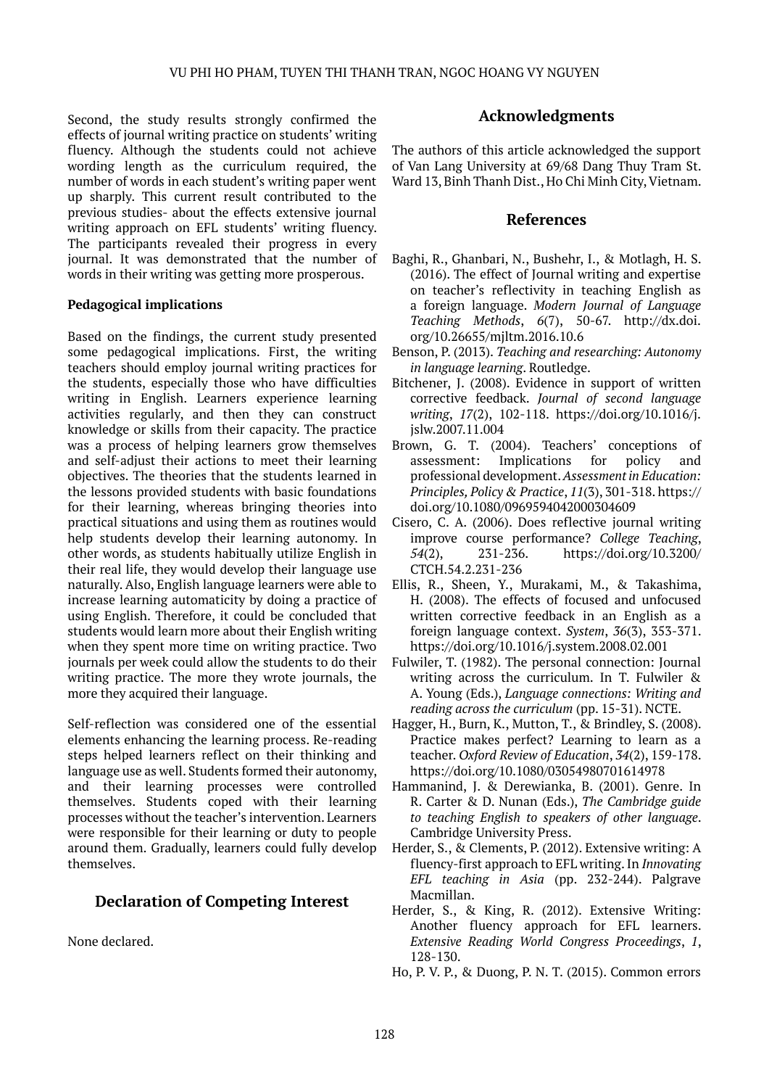Second, the study results strongly confirmed the effects of journal writing practice on students' writing fluency. Although the students could not achieve wording length as the curriculum required, the number of words in each student's writing paper went up sharply. This current result contributed to the previous studies- about the effects extensive journal writing approach on EFL students' writing fluency. The participants revealed their progress in every journal. It was demonstrated that the number of words in their writing was getting more prosperous.

#### **Pedagogical implications**

Based on the findings, the current study presented some pedagogical implications. First, the writing teachers should employ journal writing practices for the students, especially those who have difficulties writing in English. Learners experience learning activities regularly, and then they can construct knowledge or skills from their capacity. The practice was a process of helping learners grow themselves and self-adjust their actions to meet their learning objectives. The theories that the students learned in the lessons provided students with basic foundations for their learning, whereas bringing theories into practical situations and using them as routines would help students develop their learning autonomy. In other words, as students habitually utilize English in their real life, they would develop their language use naturally. Also, English language learners were able to increase learning automaticity by doing a practice of using English. Therefore, it could be concluded that students would learn more about their English writing when they spent more time on writing practice. Two journals per week could allow the students to do their writing practice. The more they wrote journals, the more they acquired their language.

Self-reflection was considered one of the essential elements enhancing the learning process. Re-reading steps helped learners reflect on their thinking and language use as well. Students formed their autonomy, and their learning processes were controlled themselves. Students coped with their learning processes without the teacher's intervention. Learners were responsible for their learning or duty to people around them. Gradually, learners could fully develop themselves.

## **Declaration of Competing Interest**

None declared.

## **Acknowledgments**

The authors of this article acknowledged the support of Van Lang University at 69/68 Dang Thuy Tram St. Ward 13, Binh Thanh Dist., Ho Chi Minh City, Vietnam.

## **References**

- Baghi, R., Ghanbari, N., Bushehr, I., & Motlagh, H. S. (2016). The effect of Journal writing and expertise on teacher's reflectivity in teaching English as a foreign language. *Modern Journal of Language Teaching Methods*, *6*(7), 50-67. http://dx.doi. org/10.26655/mjltm.2016.10.6
- Benson, P. (2013). *Teaching and researching: Autonomy in language learning*. Routledge.
- Bitchener, J. (2008). Evidence in support of written corrective feedback. *Journal of second language writing*, *17*(2), 102-118. [https://doi.org/10.1016/j.](https://doi.org/10.1016/j.jslw.2007.11.004) [jslw.2007.11.004](https://doi.org/10.1016/j.jslw.2007.11.004)
- Brown, G. T. (2004). Teachers' conceptions of assessment: Implications for policy and professional development. *Assessment in Education: Principles, Policy & Practice*, *11*(3), 301-318. [https://](https://doi.org/10.1080/0969594042000304609) [doi.org/10.1080/0969594042000304609](https://doi.org/10.1080/0969594042000304609)
- Cisero, C. A. (2006). Does reflective journal writing improve course performance? *College Teaching*, *54*(2), 231-236. [https://doi.org/10.3200/](https://doi.org/10.3200/CTCH.54.2.231-236) [CTCH.54.2.231-236](https://doi.org/10.3200/CTCH.54.2.231-236)
- Ellis, R., Sheen, Y., Murakami, M., & Takashima, H. (2008). The effects of focused and unfocused written corrective feedback in an English as a foreign language context. *System*, *36*(3), 353-371. <https://doi.org/10.1016/j.system.2008.02.001>
- Fulwiler, T. (1982). The personal connection: Journal writing across the curriculum. In T. Fulwiler & A. Young (Eds.), *Language connections: Writing and reading across the curriculum* (pp. 15-31). NCTE.
- Hagger, H., Burn, K., Mutton, T., & Brindley, S. (2008). Practice makes perfect? Learning to learn as a teacher. *Oxford Review of Education*, *34*(2), 159-178. <https://doi.org/10.1080/03054980701614978>
- Hammanind, J. & Derewianka, B. (2001). Genre. In R. Carter & D. Nunan (Eds.), *The Cambridge guide to teaching English to speakers of other language*. Cambridge University Press.
- Herder, S., & Clements, P. (2012). Extensive writing: A fluency-first approach to EFL writing. In *Innovating EFL teaching in Asia* (pp. 232-244). Palgrave Macmillan.
- Herder, S., & King, R. (2012). Extensive Writing: Another fluency approach for EFL learners. *Extensive Reading World Congress Proceedings*, *1*, 128-130.
- Ho, P. V. P., & Duong, P. N. T. (2015). Common errors